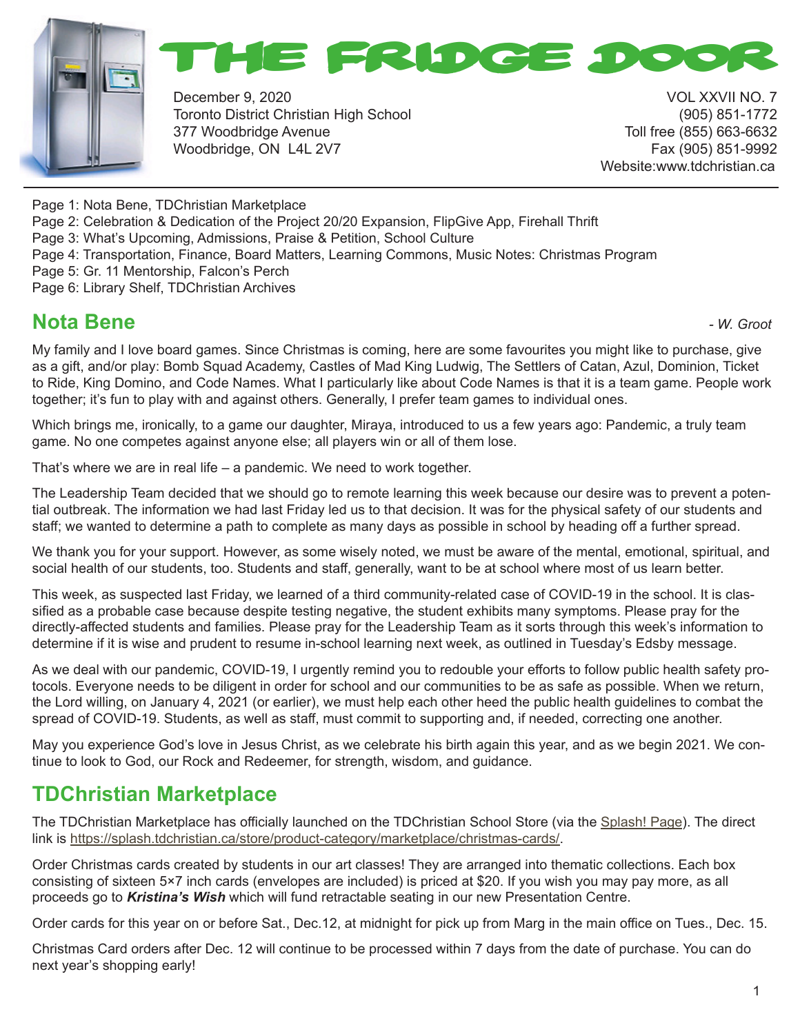



December 9, 2020 VOL XXVII NO. 7 Toronto District Christian High School (905) 851-1772 377 Woodbridge Avenue Toll free (855) 663-6632 Woodbridge, ON L4L 2V7 Fax (905) 851-9992

Website:www.tdchristian.ca

Page 1: Nota Bene, TDChristian Marketplace

Page 2: Celebration & Dedication of the Project 20/20 Expansion, FlipGive App, Firehall Thrift

Page 3: What's Upcoming, Admissions, Praise & Petition, School Culture

Page 4: Transportation, Finance, Board Matters, Learning Commons, Music Notes: Christmas Program

Page 5: Gr. 11 Mentorship, Falcon's Perch

Page 6: Library Shelf, TDChristian Archives

#### **Nota Bene** *- W. Groot*

My family and I love board games. Since Christmas is coming, here are some favourites you might like to purchase, give as a gift, and/or play: Bomb Squad Academy, Castles of Mad King Ludwig, The Settlers of Catan, Azul, Dominion, Ticket to Ride, King Domino, and Code Names. What I particularly like about Code Names is that it is a team game. People work together; it's fun to play with and against others. Generally, I prefer team games to individual ones.

Which brings me, ironically, to a game our daughter, Miraya, introduced to us a few years ago: Pandemic, a truly team game. No one competes against anyone else; all players win or all of them lose.

That's where we are in real life – a pandemic. We need to work together.

The Leadership Team decided that we should go to remote learning this week because our desire was to prevent a potential outbreak. The information we had last Friday led us to that decision. It was for the physical safety of our students and staff; we wanted to determine a path to complete as many days as possible in school by heading off a further spread.

We thank you for your support. However, as some wisely noted, we must be aware of the mental, emotional, spiritual, and social health of our students, too. Students and staff, generally, want to be at school where most of us learn better.

This week, as suspected last Friday, we learned of a third community-related case of COVID-19 in the school. It is classified as a probable case because despite testing negative, the student exhibits many symptoms. Please pray for the directly-affected students and families. Please pray for the Leadership Team as it sorts through this week's information to determine if it is wise and prudent to resume in-school learning next week, as outlined in Tuesday's Edsby message.

As we deal with our pandemic, COVID-19, I urgently remind you to redouble your efforts to follow public health safety protocols. Everyone needs to be diligent in order for school and our communities to be as safe as possible. When we return, the Lord willing, on January 4, 2021 (or earlier), we must help each other heed the public health guidelines to combat the spread of COVID-19. Students, as well as staff, must commit to supporting and, if needed, correcting one another.

May you experience God's love in Jesus Christ, as we celebrate his birth again this year, and as we begin 2021. We continue to look to God, our Rock and Redeemer, for strength, wisdom, and guidance.

### **TDChristian Marketplace**

The TDChristian Marketplace has officially launched on the TDChristian School Store (via the Splash! Page). The direct link is https://splash.tdchristian.ca/store/product-category/marketplace/christmas-cards/.

Order Christmas cards created by students in our art classes! They are arranged into thematic collections. Each box consisting of sixteen 5×7 inch cards (envelopes are included) is priced at \$20. If you wish you may pay more, as all proceeds go to *Kristina's Wish* which will fund retractable seating in our new Presentation Centre.

Order cards for this year on or before Sat., Dec.12, at midnight for pick up from Marg in the main office on Tues., Dec. 15.

Christmas Card orders after Dec. 12 will continue to be processed within 7 days from the date of purchase. You can do next year's shopping early!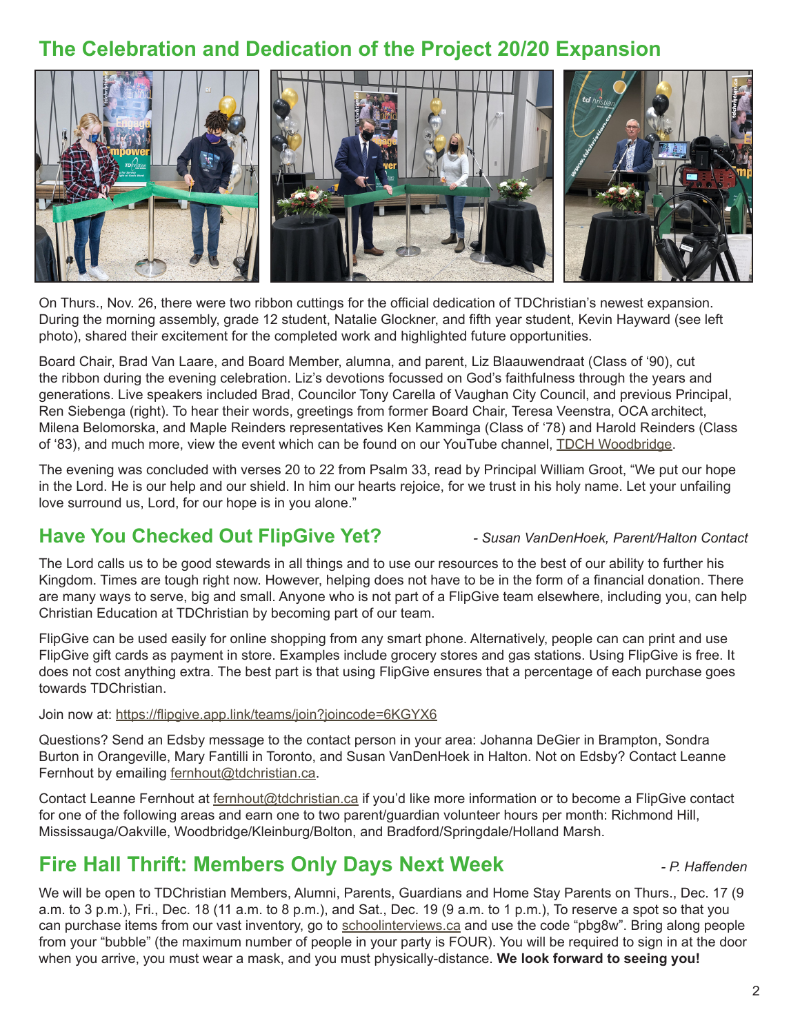#### **The Celebration and Dedication of the Project 20/20 Expansion**



On Thurs., Nov. 26, there were two ribbon cuttings for the official dedication of TDChristian's newest expansion. During the morning assembly, grade 12 student, Natalie Glockner, and fifth year student, Kevin Hayward (see left photo), shared their excitement for the completed work and highlighted future opportunities.

Board Chair, Brad Van Laare, and Board Member, alumna, and parent, Liz Blaauwendraat (Class of '90), cut the ribbon during the evening celebration. Liz's devotions focussed on God's faithfulness through the years and generations. Live speakers included Brad, Councilor Tony Carella of Vaughan City Council, and previous Principal, Ren Siebenga (right). To hear their words, greetings from former Board Chair, Teresa Veenstra, OCA architect, Milena Belomorska, and Maple Reinders representatives Ken Kamminga (Class of '78) and Harold Reinders (Class of '83), and much more, view the event which can be found on our YouTube channel, TDCH Woodbridge.

The evening was concluded with verses 20 to 22 from Psalm 33, read by Principal William Groot, "We put our hope in the Lord. He is our help and our shield. In him our hearts rejoice, for we trust in his holy name. Let your unfailing love surround us, Lord, for our hope is in you alone."

#### **Have You Checked Out FlipGive Yet?** *- Susan VanDenHoek, Parent/Halton Contact*

The Lord calls us to be good stewards in all things and to use our resources to the best of our ability to further his Kingdom. Times are tough right now. However, helping does not have to be in the form of a financial donation. There are many ways to serve, big and small. Anyone who is not part of a FlipGive team elsewhere, including you, can help Christian Education at TDChristian by becoming part of our team.

FlipGive can be used easily for online shopping from any smart phone. Alternatively, people can can print and use FlipGive gift cards as payment in store. Examples include grocery stores and gas stations. Using FlipGive is free. It does not cost anything extra. The best part is that using FlipGive ensures that a percentage of each purchase goes towards TDChristian.

Join now at: https://flipgive.app.link/teams/join?joincode=6KGYX6

Questions? Send an Edsby message to the contact person in your area: Johanna DeGier in Brampton, Sondra Burton in Orangeville, Mary Fantilli in Toronto, and Susan VanDenHoek in Halton. Not on Edsby? Contact Leanne Fernhout by emailing fernhout@tdchristian.ca.

Contact Leanne Fernhout at fernhout@tdchristian.ca if you'd like more information or to become a FlipGive contact for one of the following areas and earn one to two parent/guardian volunteer hours per month: Richmond Hill, Mississauga/Oakville, Woodbridge/Kleinburg/Bolton, and Bradford/Springdale/Holland Marsh.

#### **Fire Hall Thrift: Members Only Days Next Week** *- P. Haffenden*

We will be open to TDChristian Members, Alumni, Parents, Guardians and Home Stay Parents on Thurs., Dec. 17 (9 a.m. to 3 p.m.), Fri., Dec. 18 (11 a.m. to 8 p.m.), and Sat., Dec. 19 (9 a.m. to 1 p.m.), To reserve a spot so that you can purchase items from our vast inventory, go to schoolinterviews.ca and use the code "pbg8w". Bring along people from your "bubble" (the maximum number of people in your party is FOUR). You will be required to sign in at the door when you arrive, you must wear a mask, and you must physically-distance. **We look forward to seeing you!**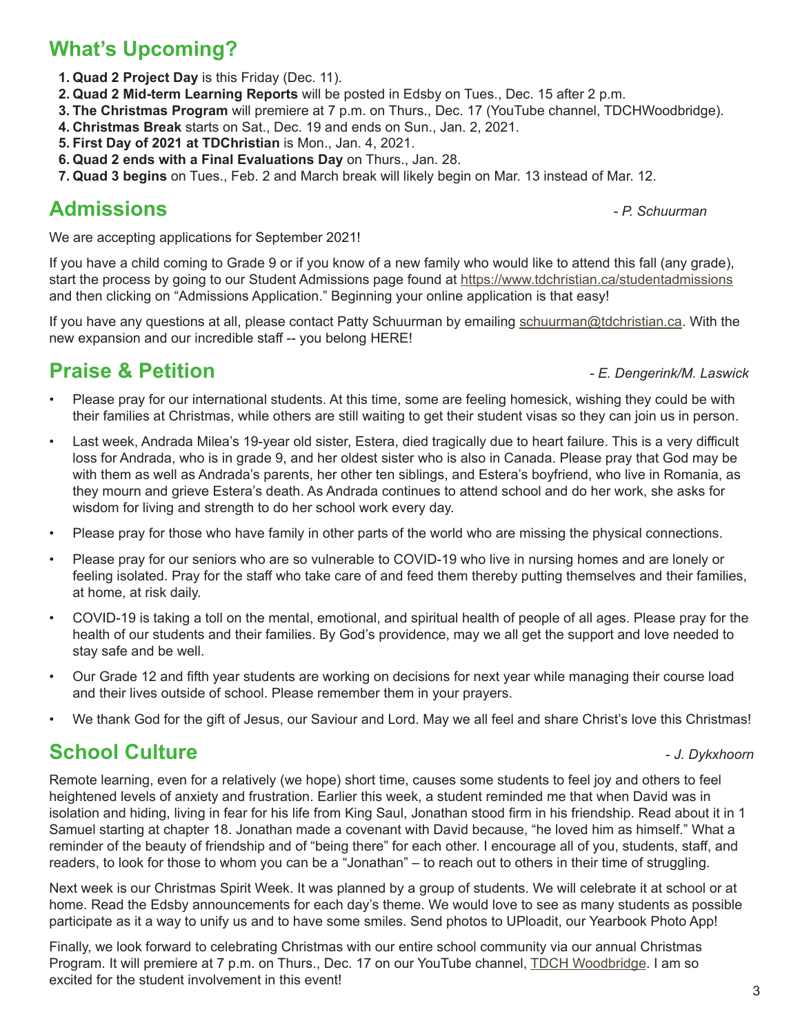# **What's Upcoming?**

- **1. Quad 2 Project Day** is this Friday (Dec. 11).
- **2. Quad 2 Mid-term Learning Reports** will be posted in Edsby on Tues., Dec. 15 after 2 p.m.
- **3. The Christmas Program** will premiere at 7 p.m. on Thurs., Dec. 17 (YouTube channel, TDCHWoodbridge).
- **4. Christmas Break** starts on Sat., Dec. 19 and ends on Sun., Jan. 2, 2021.
- **5. First Day of 2021 at TDChristian** is Mon., Jan. 4, 2021.
- **6. Quad 2 ends with a Final Evaluations Day** on Thurs., Jan. 28.
- **7. Quad 3 begins** on Tues., Feb. 2 and March break will likely begin on Mar. 13 instead of Mar. 12.

# **Admissions** *- P. Schuurman*

We are accepting applications for September 2021!

If you have a child coming to Grade 9 or if you know of a new family who would like to attend this fall (any grade), start the process by going to our Student Admissions page found at https://www.tdchristian.ca/studentadmissions and then clicking on "Admissions Application." Beginning your online application is that easy!

If you have any questions at all, please contact Patty Schuurman by emailing schuurman@tdchristian.ca. With the new expansion and our incredible staff -- you belong HERE!

# **Praise & Petition** *- E. Dengerink/M. Laswick*

- Please pray for our international students. At this time, some are feeling homesick, wishing they could be with their families at Christmas, while others are still waiting to get their student visas so they can join us in person.
- Last week, Andrada Milea's 19-year old sister, Estera, died tragically due to heart failure. This is a very difficult loss for Andrada, who is in grade 9, and her oldest sister who is also in Canada. Please pray that God may be with them as well as Andrada's parents, her other ten siblings, and Estera's boyfriend, who live in Romania, as they mourn and grieve Estera's death. As Andrada continues to attend school and do her work, she asks for wisdom for living and strength to do her school work every day.
- Please pray for those who have family in other parts of the world who are missing the physical connections.
- Please pray for our seniors who are so vulnerable to COVID-19 who live in nursing homes and are lonely or feeling isolated. Pray for the staff who take care of and feed them thereby putting themselves and their families, at home, at risk daily.
- COVID-19 is taking a toll on the mental, emotional, and spiritual health of people of all ages. Please pray for the health of our students and their families. By God's providence, may we all get the support and love needed to stay safe and be well.
- Our Grade 12 and fifth year students are working on decisions for next year while managing their course load and their lives outside of school. Please remember them in your prayers.
- We thank God for the gift of Jesus, our Saviour and Lord. May we all feel and share Christ's love this Christmas!

#### **School Culture -** *J. Dykxhoorn***</del>**

Remote learning, even for a relatively (we hope) short time, causes some students to feel joy and others to feel heightened levels of anxiety and frustration. Earlier this week, a student reminded me that when David was in isolation and hiding, living in fear for his life from King Saul, Jonathan stood firm in his friendship. Read about it in 1 Samuel starting at chapter 18. Jonathan made a covenant with David because, "he loved him as himself." What a reminder of the beauty of friendship and of "being there" for each other. I encourage all of you, students, staff, and readers, to look for those to whom you can be a "Jonathan" – to reach out to others in their time of struggling.

Next week is our Christmas Spirit Week. It was planned by a group of students. We will celebrate it at school or at home. Read the Edsby announcements for each day's theme. We would love to see as many students as possible participate as it a way to unify us and to have some smiles. Send photos to UPloadit, our Yearbook Photo App!

Finally, we look forward to celebrating Christmas with our entire school community via our annual Christmas Program. It will premiere at 7 p.m. on Thurs., Dec. 17 on our YouTube channel, TDCH Woodbridge. I am so excited for the student involvement in this event!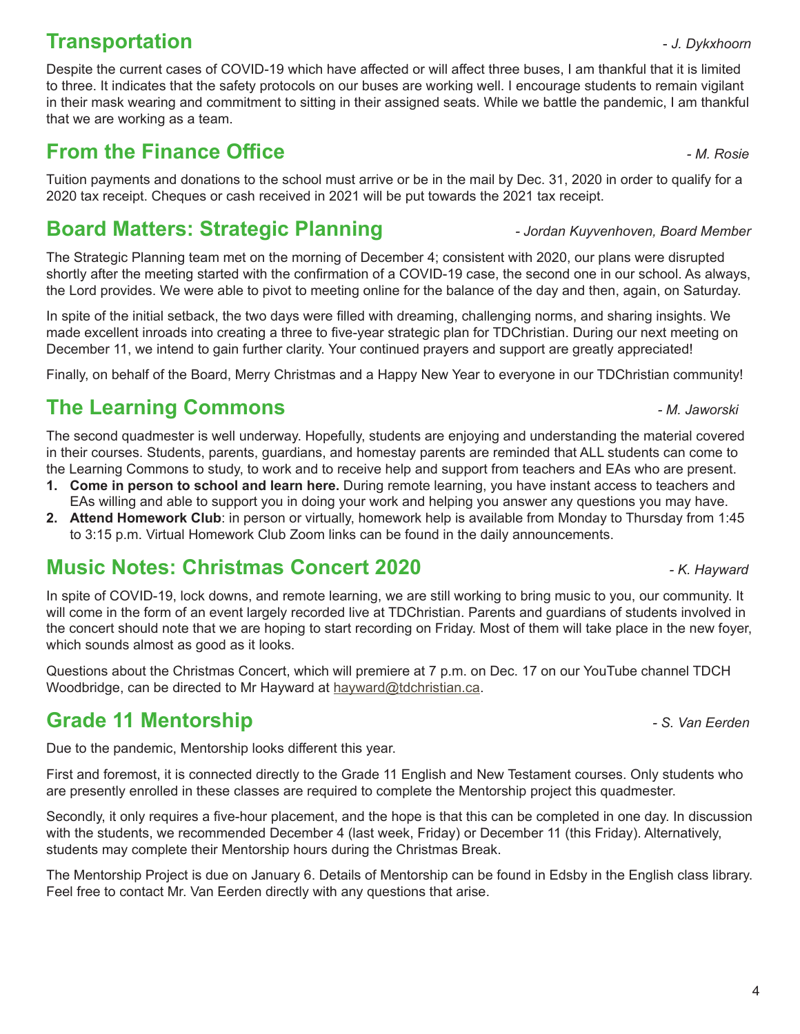### **Transportation 1.** The *J. Dykxhoorn*

Despite the current cases of COVID-19 which have affected or will affect three buses, I am thankful that it is limited to three. It indicates that the safety protocols on our buses are working well. I encourage students to remain vigilant in their mask wearing and commitment to sitting in their assigned seats. While we battle the pandemic, I am thankful that we are working as a team.

### **From the Finance Office** *- M. Rosie*

Tuition payments and donations to the school must arrive or be in the mail by Dec. 31, 2020 in order to qualify for a 2020 tax receipt. Cheques or cash received in 2021 will be put towards the 2021 tax receipt.

# **Board Matters: Strategic Planning** *- Jordan Kuyvenhoven, Board Member*

The Strategic Planning team met on the morning of December 4; consistent with 2020, our plans were disrupted shortly after the meeting started with the confirmation of a COVID-19 case, the second one in our school. As always, the Lord provides. We were able to pivot to meeting online for the balance of the day and then, again, on Saturday.

In spite of the initial setback, the two days were filled with dreaming, challenging norms, and sharing insights. We made excellent inroads into creating a three to five-year strategic plan for TDChristian. During our next meeting on December 11, we intend to gain further clarity. Your continued prayers and support are greatly appreciated!

Finally, on behalf of the Board, Merry Christmas and a Happy New Year to everyone in our TDChristian community!

# **The Learning Commons** *- M. Jaworski*

The second quadmester is well underway. Hopefully, students are enjoying and understanding the material covered in their courses. Students, parents, guardians, and homestay parents are reminded that ALL students can come to the Learning Commons to study, to work and to receive help and support from teachers and EAs who are present.

- **1. Come in person to school and learn here.** During remote learning, you have instant access to teachers and EAs willing and able to support you in doing your work and helping you answer any questions you may have.
- **2. Attend Homework Club**: in person or virtually, homework help is available from Monday to Thursday from 1:45 to 3:15 p.m. Virtual Homework Club Zoom links can be found in the daily announcements.

# **Music Notes: Christmas Concert 2020** *- K. Hayward*

In spite of COVID-19, lock downs, and remote learning, we are still working to bring music to you, our community. It will come in the form of an event largely recorded live at TDChristian. Parents and guardians of students involved in the concert should note that we are hoping to start recording on Friday. Most of them will take place in the new foyer, which sounds almost as good as it looks.

Questions about the Christmas Concert, which will premiere at 7 p.m. on Dec. 17 on our YouTube channel TDCH Woodbridge, can be directed to Mr Hayward at hayward@tdchristian.ca.

# **Grade 11 Mentorship** *- S. Van Eerden*

Due to the pandemic, Mentorship looks different this year.

First and foremost, it is connected directly to the Grade 11 English and New Testament courses. Only students who are presently enrolled in these classes are required to complete the Mentorship project this quadmester.

Secondly, it only requires a five-hour placement, and the hope is that this can be completed in one day. In discussion with the students, we recommended December 4 (last week, Friday) or December 11 (this Friday). Alternatively, students may complete their Mentorship hours during the Christmas Break.

The Mentorship Project is due on January 6. Details of Mentorship can be found in Edsby in the English class library. Feel free to contact Mr. Van Eerden directly with any questions that arise.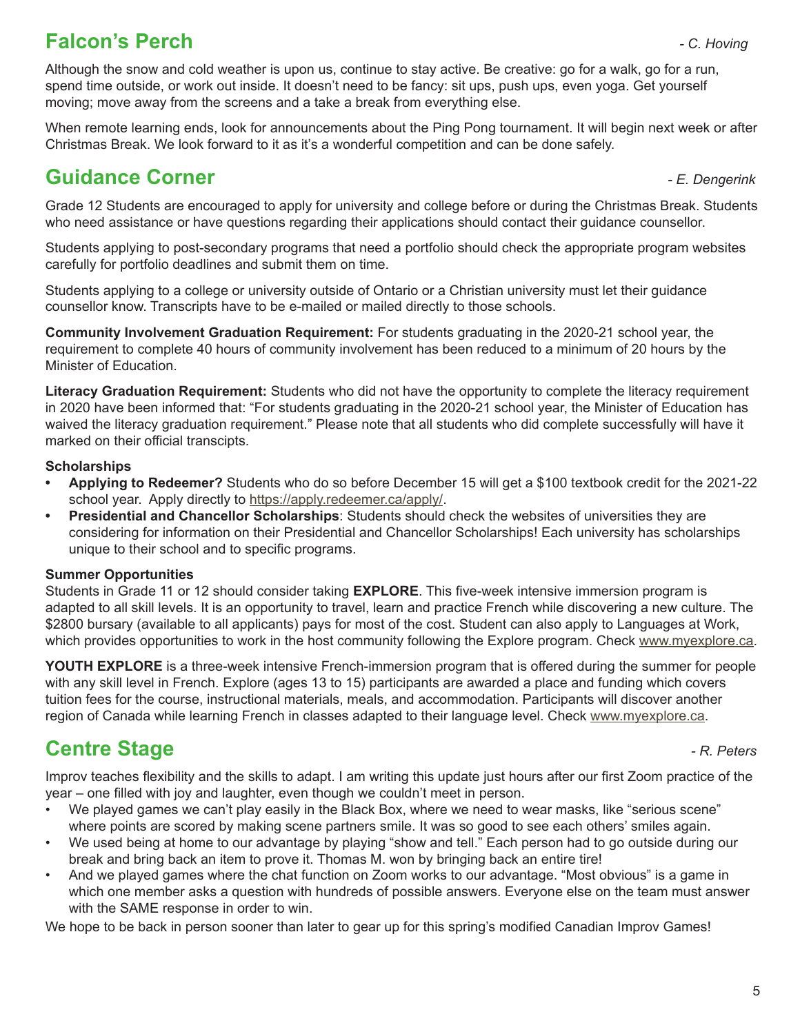### **Falcon's Perch** *- C. Hoving*

Although the snow and cold weather is upon us, continue to stay active. Be creative: go for a walk, go for a run, spend time outside, or work out inside. It doesn't need to be fancy: sit ups, push ups, even yoga. Get yourself moving; move away from the screens and a take a break from everything else.

When remote learning ends, look for announcements about the Ping Pong tournament. It will begin next week or after Christmas Break. We look forward to it as it's a wonderful competition and can be done safely.

#### **Guidance Corner** *- E. Dengerink*

Grade 12 Students are encouraged to apply for university and college before or during the Christmas Break. Students who need assistance or have questions regarding their applications should contact their guidance counsellor.

Students applying to post-secondary programs that need a portfolio should check the appropriate program websites carefully for portfolio deadlines and submit them on time.

Students applying to a college or university outside of Ontario or a Christian university must let their guidance counsellor know. Transcripts have to be e-mailed or mailed directly to those schools.

**Community Involvement Graduation Requirement:** For students graduating in the 2020-21 school year, the requirement to complete 40 hours of community involvement has been reduced to a minimum of 20 hours by the Minister of Education.

**Literacy Graduation Requirement:** Students who did not have the opportunity to complete the literacy requirement in 2020 have been informed that: "For students graduating in the 2020-21 school year, the Minister of Education has waived the literacy graduation requirement." Please note that all students who did complete successfully will have it marked on their official transcipts.

#### **Scholarships**

- **• Applying to Redeemer?** Students who do so before December 15 will get a \$100 textbook credit for the 2021-22 school year. Apply directly to https://apply.redeemer.ca/apply/.
- **• Presidential and Chancellor Scholarships**: Students should check the websites of universities they are considering for information on their Presidential and Chancellor Scholarships! Each university has scholarships unique to their school and to specific programs.

#### **Summer Opportunities**

Students in Grade 11 or 12 should consider taking **EXPLORE**. This five-week intensive immersion program is adapted to all skill levels. It is an opportunity to travel, learn and practice French while discovering a new culture. The \$2800 bursary (available to all applicants) pays for most of the cost. Student can also apply to Languages at Work, which provides opportunities to work in the host community following the Explore program. Check www.myexplore.ca.

**YOUTH EXPLORE** is a three-week intensive French-immersion program that is offered during the summer for people with any skill level in French. Explore (ages 13 to 15) participants are awarded a place and funding which covers tuition fees for the course, instructional materials, meals, and accommodation. Participants will discover another region of Canada while learning French in classes adapted to their language level. Check www.myexplore.ca.

# **Centre Stage** *Centre Stage**AR. Peters* **<b>***PR. Peters*

Improv teaches flexibility and the skills to adapt. I am writing this update just hours after our first Zoom practice of the year – one filled with joy and laughter, even though we couldn't meet in person.

- We played games we can't play easily in the Black Box, where we need to wear masks, like "serious scene" where points are scored by making scene partners smile. It was so good to see each others' smiles again.
- We used being at home to our advantage by playing "show and tell." Each person had to go outside during our break and bring back an item to prove it. Thomas M. won by bringing back an entire tire!
- And we played games where the chat function on Zoom works to our advantage. "Most obvious" is a game in which one member asks a question with hundreds of possible answers. Everyone else on the team must answer with the SAME response in order to win.

We hope to be back in person sooner than later to gear up for this spring's modified Canadian Improv Games!